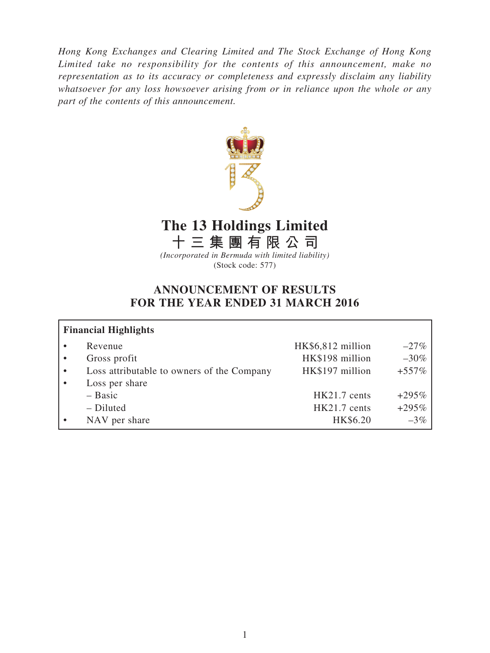*Hong Kong Exchanges and Clearing Limited and The Stock Exchange of Hong Kong Limited take no responsibility for the contents of this announcement, make no representation as to its accuracy or completeness and expressly disclaim any liability whatsoever for any loss howsoever arising from or in reliance upon the whole or any part of the contents of this announcement.*



# **The 13 Holdings Limited**

**十三集團有限公司** *(Incorporated in Bermuda with limited liability)*

(Stock code: 577)

# **ANNOUNCEMENT OF RESULTS FOR THE YEAR ENDED 31 MARCH 2016**

| <b>Financial Highlights</b>                |                             |  |
|--------------------------------------------|-----------------------------|--|
| Revenue                                    | HK\$6,812 million<br>$-27%$ |  |
| Gross profit<br>$\bullet$                  | HK\$198 million<br>$-30\%$  |  |
| Loss attributable to owners of the Company | HK\$197 million<br>$+557%$  |  |
| Loss per share<br>$\bullet$                |                             |  |
| $-$ Basic                                  | $+295%$<br>HK21.7 cents     |  |
| - Diluted                                  | $+295%$<br>HK21.7 cents     |  |
| NAV per share                              | HK\$6.20<br>$-3\%$          |  |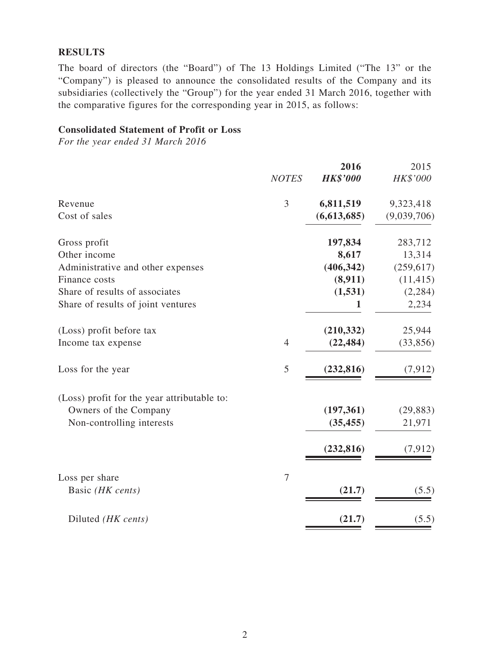# **RESULTS**

The board of directors (the "Board") of The 13 Holdings Limited ("The 13" or the "Company") is pleased to announce the consolidated results of the Company and its subsidiaries (collectively the "Group") for the year ended 31 March 2016, together with the comparative figures for the corresponding year in 2015, as follows:

### **Consolidated Statement of Profit or Loss**

*For the year ended 31 March 2016*

| <b>NOTES</b>   | 2016<br><b>HK\$'000</b> | 2015<br>HK\$'000 |
|----------------|-------------------------|------------------|
| 3              | 6,811,519               | 9,323,418        |
|                | (6,613,685)             | (9,039,706)      |
|                | 197,834                 | 283,712          |
|                | 8,617                   | 13,314           |
|                | (406, 342)              | (259, 617)       |
|                | (8,911)                 | (11, 415)        |
|                | (1, 531)                | (2, 284)         |
|                | 1                       | 2,234            |
|                | (210, 332)              | 25,944           |
| $\overline{4}$ | (22, 484)               | (33, 856)        |
| 5              | (232, 816)              | (7, 912)         |
|                |                         |                  |
|                | (197, 361)              | (29, 883)        |
|                | (35, 455)               | 21,971           |
|                | (232, 816)              | (7, 912)         |
| $\overline{7}$ |                         |                  |
|                | (21.7)                  | (5.5)            |
|                | (21.7)                  | (5.5)            |
|                |                         |                  |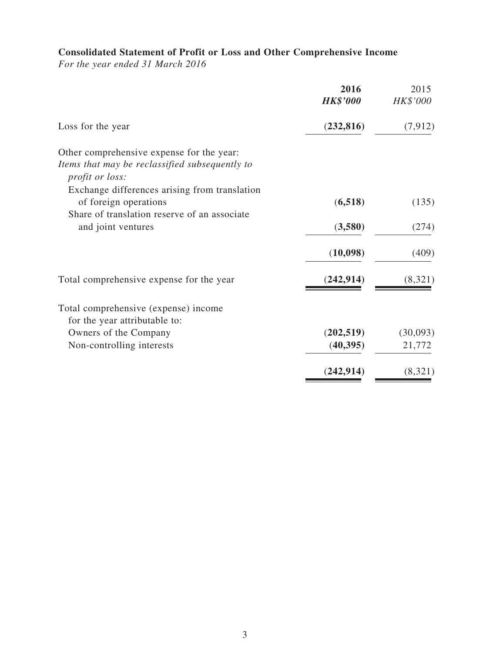# **Consolidated Statement of Profit or Loss and Other Comprehensive Income**

*For the year ended 31 March 2016*

|                                                                                                                        | 2016<br><b>HK\$'000</b> | 2015<br>HK\$'000 |
|------------------------------------------------------------------------------------------------------------------------|-------------------------|------------------|
| Loss for the year                                                                                                      | (232, 816)              | (7, 912)         |
| Other comprehensive expense for the year:                                                                              |                         |                  |
| Items that may be reclassified subsequently to                                                                         |                         |                  |
| <i>profit or loss:</i>                                                                                                 |                         |                  |
| Exchange differences arising from translation<br>of foreign operations<br>Share of translation reserve of an associate | (6,518)                 | (135)            |
| and joint ventures                                                                                                     | (3,580)                 | (274)            |
|                                                                                                                        | (10,098)                | (409)            |
| Total comprehensive expense for the year                                                                               | (242, 914)              | (8,321)          |
| Total comprehensive (expense) income                                                                                   |                         |                  |
| for the year attributable to:                                                                                          |                         |                  |
| Owners of the Company                                                                                                  | (202, 519)              | (30,093)         |
| Non-controlling interests                                                                                              | (40, 395)               | 21,772           |
|                                                                                                                        | (242, 914)              | (8,321)          |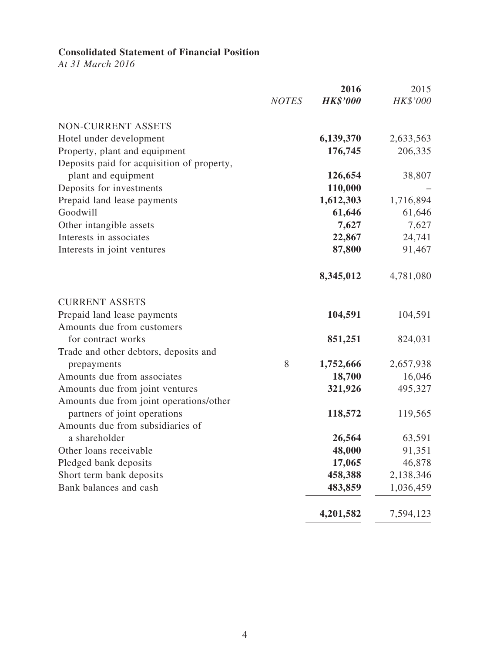# **Consolidated Statement of Financial Position**

*At 31 March 2016*

|                                            |              | 2016            | 2015      |
|--------------------------------------------|--------------|-----------------|-----------|
|                                            | <b>NOTES</b> | <b>HK\$'000</b> | HK\$'000  |
| NON-CURRENT ASSETS                         |              |                 |           |
| Hotel under development                    |              | 6,139,370       | 2,633,563 |
| Property, plant and equipment              |              | 176,745         | 206,335   |
| Deposits paid for acquisition of property, |              |                 |           |
| plant and equipment                        |              | 126,654         | 38,807    |
| Deposits for investments                   |              | 110,000         |           |
| Prepaid land lease payments                |              | 1,612,303       | 1,716,894 |
| Goodwill                                   |              | 61,646          | 61,646    |
| Other intangible assets                    |              | 7,627           | 7,627     |
| Interests in associates                    |              | 22,867          | 24,741    |
| Interests in joint ventures                |              | 87,800          | 91,467    |
|                                            |              | 8,345,012       | 4,781,080 |
| <b>CURRENT ASSETS</b>                      |              |                 |           |
| Prepaid land lease payments                |              | 104,591         | 104,591   |
| Amounts due from customers                 |              |                 |           |
| for contract works                         |              | 851,251         | 824,031   |
| Trade and other debtors, deposits and      |              |                 |           |
| prepayments                                | 8            | 1,752,666       | 2,657,938 |
| Amounts due from associates                |              | 18,700          | 16,046    |
| Amounts due from joint ventures            |              | 321,926         | 495,327   |
| Amounts due from joint operations/other    |              |                 |           |
| partners of joint operations               |              | 118,572         | 119,565   |
| Amounts due from subsidiaries of           |              |                 |           |
| a shareholder                              |              | 26,564          | 63,591    |
| Other loans receivable                     |              | 48,000          | 91,351    |
| Pledged bank deposits                      |              | 17,065          | 46,878    |
| Short term bank deposits                   |              | 458,388         | 2,138,346 |
| Bank balances and cash                     |              | 483,859         | 1,036,459 |
|                                            |              | 4,201,582       | 7,594,123 |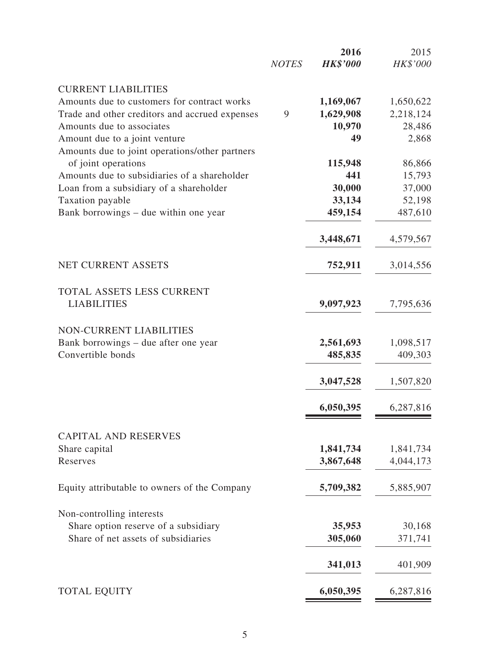|                                                                       | <b>NOTES</b> | 2016<br><b>HK\$'000</b> | 2015<br>HK\$'000 |
|-----------------------------------------------------------------------|--------------|-------------------------|------------------|
| <b>CURRENT LIABILITIES</b>                                            |              |                         |                  |
| Amounts due to customers for contract works                           |              | 1,169,067               | 1,650,622        |
| Trade and other creditors and accrued expenses                        | 9            | 1,629,908               | 2,218,124        |
| Amounts due to associates                                             |              | 10,970                  | 28,486           |
| Amount due to a joint venture                                         |              | 49                      | 2,868            |
| Amounts due to joint operations/other partners<br>of joint operations |              | 115,948                 | 86,866           |
| Amounts due to subsidiaries of a shareholder                          |              | 441                     | 15,793           |
| Loan from a subsidiary of a shareholder                               |              | 30,000                  | 37,000           |
|                                                                       |              | 33,134                  |                  |
| Taxation payable                                                      |              |                         | 52,198           |
| Bank borrowings - due within one year                                 |              | 459,154                 | 487,610          |
|                                                                       |              | 3,448,671               | 4,579,567        |
| <b>NET CURRENT ASSETS</b>                                             |              | 752,911                 | 3,014,556        |
| TOTAL ASSETS LESS CURRENT                                             |              |                         |                  |
| <b>LIABILITIES</b>                                                    |              | 9,097,923               | 7,795,636        |
| <b>NON-CURRENT LIABILITIES</b>                                        |              |                         |                  |
| Bank borrowings - due after one year                                  |              | 2,561,693               | 1,098,517        |
| Convertible bonds                                                     |              | 485,835                 | 409,303          |
|                                                                       |              | 3,047,528               | 1,507,820        |
|                                                                       |              | 6,050,395               | 6,287,816        |
| <b>CAPITAL AND RESERVES</b>                                           |              |                         |                  |
| Share capital                                                         |              | 1,841,734               | 1,841,734        |
| Reserves                                                              |              | 3,867,648               | 4,044,173        |
| Equity attributable to owners of the Company                          |              | 5,709,382               | 5,885,907        |
| Non-controlling interests                                             |              |                         |                  |
| Share option reserve of a subsidiary                                  |              | 35,953                  | 30,168           |
| Share of net assets of subsidiaries                                   |              | 305,060                 | 371,741          |
|                                                                       |              | 341,013                 | 401,909          |
| <b>TOTAL EQUITY</b>                                                   |              | 6,050,395               | 6,287,816        |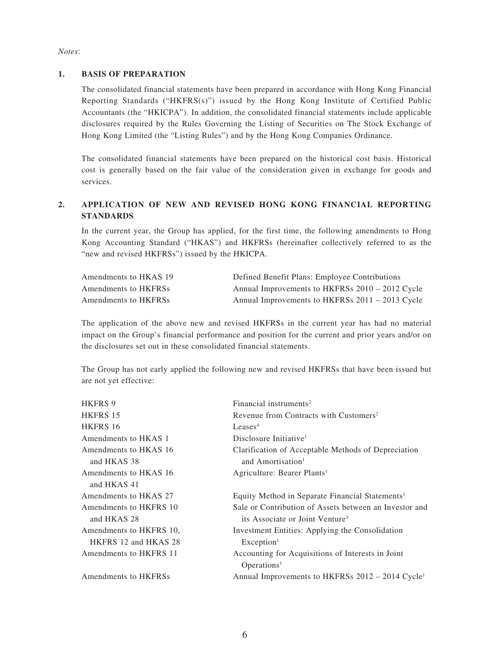#### *Notes*:

#### **1. BASIS OF PREPARATION**

The consolidated financial statements have been prepared in accordance with Hong Kong Financial Reporting Standards ("HKFRS(s)") issued by the Hong Kong Institute of Certified Public Accountants (the "HKICPA"). In addition, the consolidated financial statements include applicable disclosures required by the Rules Governing the Listing of Securities on The Stock Exchange of Hong Kong Limited (the "Listing Rules") and by the Hong Kong Companies Ordinance.

The consolidated financial statements have been prepared on the historical cost basis. Historical cost is generally based on the fair value of the consideration given in exchange for goods and services.

### **2. APPLICATION OF NEW AND REVISED HONG KONG FINANCIAL REPORTING STANDARDS**

In the current year, the Group has applied, for the first time, the following amendments to Hong Kong Accounting Standard ("HKAS") and HKFRSs (hereinafter collectively referred to as the "new and revised HKFRSs") issued by the HKICPA.

| Amendments to HKAS 19 | Defined Benefit Plans: Employee Contributions   |
|-----------------------|-------------------------------------------------|
| Amendments to HKFRSs  | Annual Improvements to HKFRSs 2010 – 2012 Cycle |
| Amendments to HKFRSs  | Annual Improvements to HKFRSs 2011 – 2013 Cycle |

The application of the above new and revised HKFRSs in the current year has had no material impact on the Group's financial performance and position for the current and prior years and/or on the disclosures set out in these consolidated financial statements.

The Group has not early applied the following new and revised HKFRSs that have been issued but are not yet effective:

| <b>HKFRS 9</b>          | Financial instruments <sup>2</sup>                           |
|-------------------------|--------------------------------------------------------------|
| <b>HKFRS 15</b>         | Revenue from Contracts with Customers <sup>2</sup>           |
| HKFRS 16                | Leases <sup>4</sup>                                          |
| Amendments to HKAS 1    | Disclosure Initiative <sup>1</sup>                           |
| Amendments to HKAS 16   | Clarification of Acceptable Methods of Depreciation          |
| and HKAS 38             | and Amortisation <sup>1</sup>                                |
| Amendments to HKAS 16   | Agriculture: Bearer Plants <sup>1</sup>                      |
| and HKAS 41             |                                                              |
| Amendments to HKAS 27   | Equity Method in Separate Financial Statements <sup>1</sup>  |
| Amendments to HKFRS 10  | Sale or Contribution of Assets between an Investor and       |
| and HKAS 28             | its Associate or Joint Venture <sup>3</sup>                  |
| Amendments to HKFRS 10, | Investment Entities: Applying the Consolidation              |
| HKFRS 12 and HKAS 28    | Exception <sup>1</sup>                                       |
| Amendments to HKFRS 11  | Accounting for Acquisitions of Interests in Joint            |
|                         | Operations <sup>1</sup>                                      |
| Amendments to HKFRSs    | Annual Improvements to HKFRSs 2012 – 2014 Cycle <sup>1</sup> |
|                         |                                                              |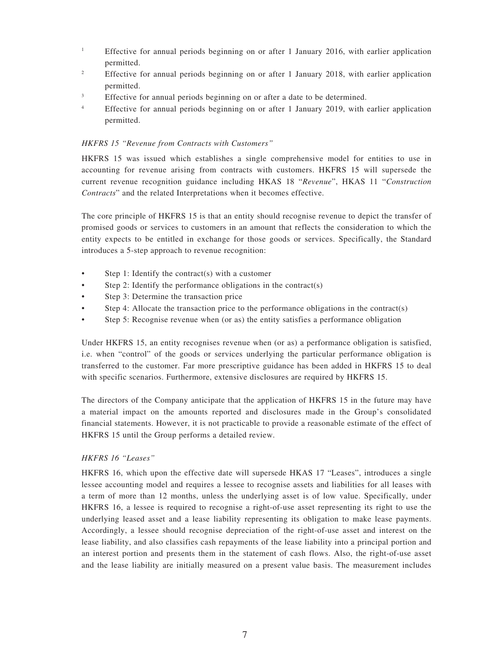- <sup>1</sup> Effective for annual periods beginning on or after 1 January 2016, with earlier application permitted.
- <sup>2</sup> Effective for annual periods beginning on or after 1 January 2018, with earlier application permitted.
- <sup>3</sup> Effective for annual periods beginning on or after a date to be determined.
- <sup>4</sup> Effective for annual periods beginning on or after 1 January 2019, with earlier application permitted.

#### *HKFRS 15 "Revenue from Contracts with Customers"*

HKFRS 15 was issued which establishes a single comprehensive model for entities to use in accounting for revenue arising from contracts with customers. HKFRS 15 will supersede the current revenue recognition guidance including HKAS 18 "*Revenue*", HKAS 11 "*Construction Contracts*" and the related Interpretations when it becomes effective.

The core principle of HKFRS 15 is that an entity should recognise revenue to depict the transfer of promised goods or services to customers in an amount that reflects the consideration to which the entity expects to be entitled in exchange for those goods or services. Specifically, the Standard introduces a 5-step approach to revenue recognition:

- Step 1: Identify the contract(s) with a customer
- Step 2: Identify the performance obligations in the contract(s)
- Step 3: Determine the transaction price
- Step 4: Allocate the transaction price to the performance obligations in the contract(s)
- Step 5: Recognise revenue when (or as) the entity satisfies a performance obligation

Under HKFRS 15, an entity recognises revenue when (or as) a performance obligation is satisfied, i.e. when "control" of the goods or services underlying the particular performance obligation is transferred to the customer. Far more prescriptive guidance has been added in HKFRS 15 to deal with specific scenarios. Furthermore, extensive disclosures are required by HKFRS 15.

The directors of the Company anticipate that the application of HKFRS 15 in the future may have a material impact on the amounts reported and disclosures made in the Group's consolidated financial statements. However, it is not practicable to provide a reasonable estimate of the effect of HKFRS 15 until the Group performs a detailed review.

#### *HKFRS 16 "Leases"*

HKFRS 16, which upon the effective date will supersede HKAS 17 "Leases", introduces a single lessee accounting model and requires a lessee to recognise assets and liabilities for all leases with a term of more than 12 months, unless the underlying asset is of low value. Specifically, under HKFRS 16, a lessee is required to recognise a right-of-use asset representing its right to use the underlying leased asset and a lease liability representing its obligation to make lease payments. Accordingly, a lessee should recognise depreciation of the right-of-use asset and interest on the lease liability, and also classifies cash repayments of the lease liability into a principal portion and an interest portion and presents them in the statement of cash flows. Also, the right-of-use asset and the lease liability are initially measured on a present value basis. The measurement includes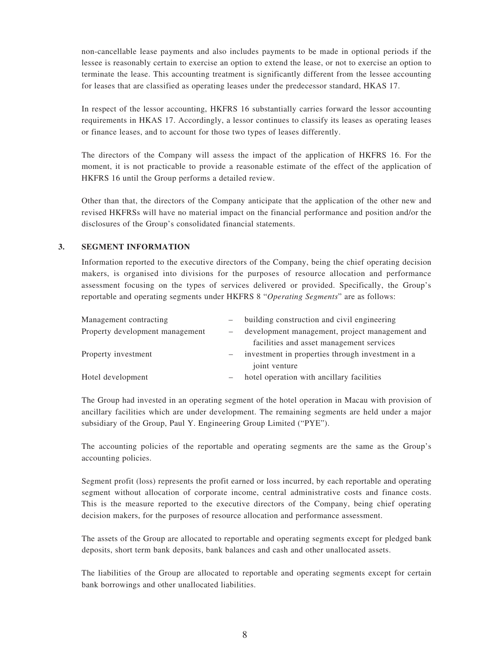non-cancellable lease payments and also includes payments to be made in optional periods if the lessee is reasonably certain to exercise an option to extend the lease, or not to exercise an option to terminate the lease. This accounting treatment is significantly different from the lessee accounting for leases that are classified as operating leases under the predecessor standard, HKAS 17.

In respect of the lessor accounting, HKFRS 16 substantially carries forward the lessor accounting requirements in HKAS 17. Accordingly, a lessor continues to classify its leases as operating leases or finance leases, and to account for those two types of leases differently.

The directors of the Company will assess the impact of the application of HKFRS 16. For the moment, it is not practicable to provide a reasonable estimate of the effect of the application of HKFRS 16 until the Group performs a detailed review.

Other than that, the directors of the Company anticipate that the application of the other new and revised HKFRSs will have no material impact on the financial performance and position and/or the disclosures of the Group's consolidated financial statements.

#### **3. SEGMENT INFORMATION**

Information reported to the executive directors of the Company, being the chief operating decision makers, is organised into divisions for the purposes of resource allocation and performance assessment focusing on the types of services delivered or provided. Specifically, the Group's reportable and operating segments under HKFRS 8 "*Operating Segments*" are as follows:

| Management contracting          | building construction and civil engineering      |
|---------------------------------|--------------------------------------------------|
| Property development management | development management, project management and   |
|                                 | facilities and asset management services         |
| Property investment             | investment in properties through investment in a |
|                                 | joint venture                                    |
| Hotel development               | hotel operation with ancillary facilities        |
|                                 |                                                  |

The Group had invested in an operating segment of the hotel operation in Macau with provision of ancillary facilities which are under development. The remaining segments are held under a major subsidiary of the Group, Paul Y. Engineering Group Limited ("PYE").

The accounting policies of the reportable and operating segments are the same as the Group's accounting policies.

Segment profit (loss) represents the profit earned or loss incurred, by each reportable and operating segment without allocation of corporate income, central administrative costs and finance costs. This is the measure reported to the executive directors of the Company, being chief operating decision makers, for the purposes of resource allocation and performance assessment.

The assets of the Group are allocated to reportable and operating segments except for pledged bank deposits, short term bank deposits, bank balances and cash and other unallocated assets.

The liabilities of the Group are allocated to reportable and operating segments except for certain bank borrowings and other unallocated liabilities.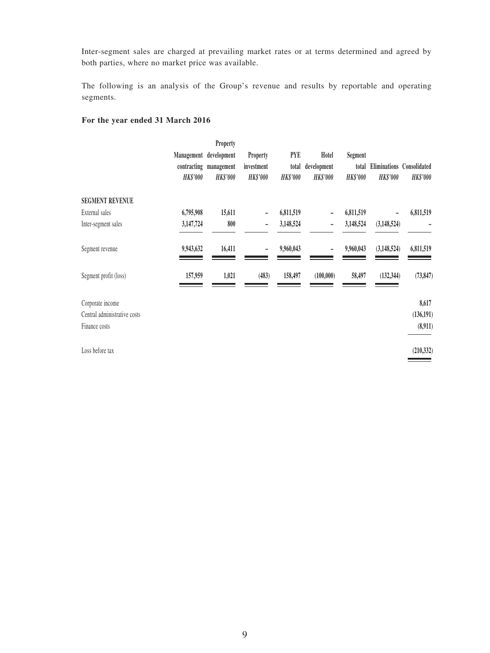Inter-segment sales are charged at prevailing market rates or at terms determined and agreed by both parties, where no market price was available.

The following is an analysis of the Group's revenue and results by reportable and operating segments.

#### **For the year ended 31 March 2016**

| Eliminations Consolidated<br><b>HK\$'000</b> |
|----------------------------------------------|
|                                              |
|                                              |
|                                              |
|                                              |
| 6,811,519                                    |
|                                              |
| 6,811,519                                    |
| (73, 847)                                    |
| 8,617                                        |
| (136, 191)                                   |
| (8,911)                                      |
| (210, 332)                                   |
|                                              |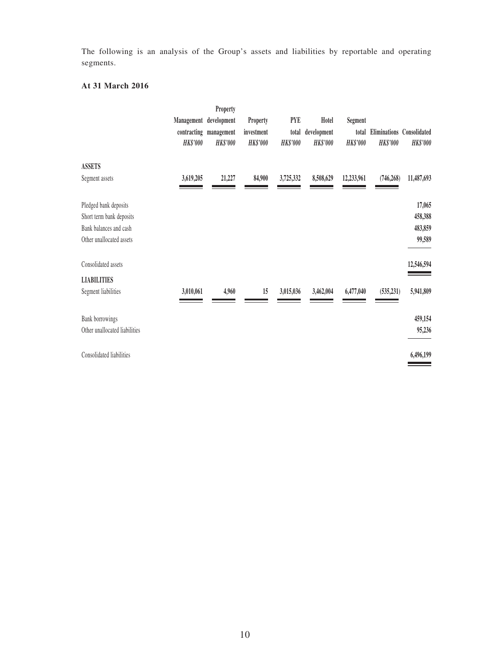The following is an analysis of the Group's assets and liabilities by reportable and operating segments.

### **At 31 March 2016**

|                                                                                                         | Management<br>contracting<br><b>HK\$'000</b> | Property<br>development<br>management<br><b>HK\$'000</b> | Property<br>investment<br><b>HK\$'000</b> | <b>PYE</b><br>total<br><b>HK\$'000</b> | Hotel<br>development<br><b>HK\$'000</b> | Segment<br>total<br><b>HK\$'000</b> | <b>HK\$'000</b> | Eliminations Consolidated<br><b>HK\$'000</b> |
|---------------------------------------------------------------------------------------------------------|----------------------------------------------|----------------------------------------------------------|-------------------------------------------|----------------------------------------|-----------------------------------------|-------------------------------------|-----------------|----------------------------------------------|
| <b>ASSETS</b><br>Segment assets                                                                         | 3,619,205                                    | 21,227                                                   | 84,900                                    | 3,725,332                              | 8,508,629                               | 12,233,961                          | (746, 268)      | 11,487,693                                   |
| Pledged bank deposits<br>Short term bank deposits<br>Bank balances and cash<br>Other unallocated assets |                                              |                                                          |                                           |                                        |                                         |                                     |                 | 17,065<br>458,388<br>483,859<br>99,589       |
| Consolidated assets                                                                                     |                                              |                                                          |                                           |                                        |                                         |                                     |                 | 12,546,594                                   |
| <b>LIABILITIES</b><br>Segment liabilities                                                               | 3,010,061                                    | 4,960                                                    | 15                                        | 3,015,036                              | 3,462,004                               | 6,477,040                           | (535, 231)      | 5,941,809                                    |
| <b>Bank borrowings</b><br>Other unallocated liabilities                                                 |                                              |                                                          |                                           |                                        |                                         |                                     |                 | 459,154<br>95,236                            |
| Consolidated liabilities                                                                                |                                              |                                                          |                                           |                                        |                                         |                                     |                 | 6,496,199                                    |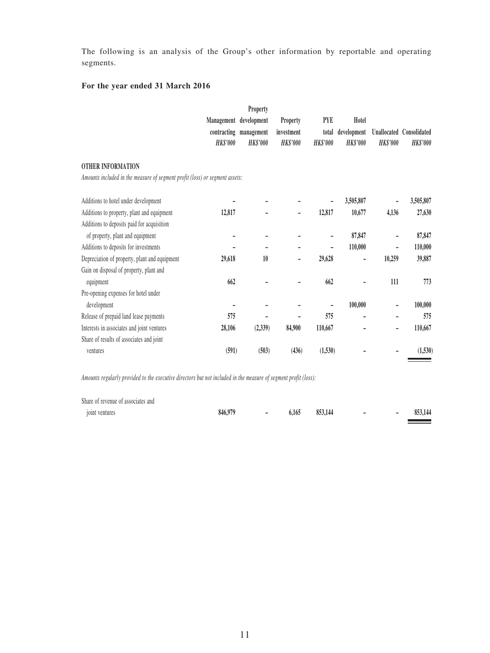The following is an analysis of the Group's other information by reportable and operating segments.

### **For the year ended 31 March 2016**

|                                                                             |                          | Property               |                 |                 |                 |                 |                          |
|-----------------------------------------------------------------------------|--------------------------|------------------------|-----------------|-----------------|-----------------|-----------------|--------------------------|
|                                                                             | Management               | development            | Property        | <b>PYE</b>      | Hotel           |                 |                          |
|                                                                             |                          | contracting management | investment      | total           | development     |                 | Unallocated Consolidated |
|                                                                             | <b>HK\$'000</b>          | <b>HK\$'000</b>        | <b>HK\$'000</b> | <b>HK\$'000</b> | <b>HK\$'000</b> | <b>HK\$'000</b> | <b>HK\$'000</b>          |
| <b>OTHER INFORMATION</b>                                                    |                          |                        |                 |                 |                 |                 |                          |
| Amounts included in the measure of segment profit (loss) or segment assets: |                          |                        |                 |                 |                 |                 |                          |
| Additions to hotel under development                                        |                          |                        |                 |                 | 3,505,807       |                 | 3,505,807                |
| Additions to property, plant and equipment                                  | 12,817                   |                        |                 | 12,817          | 10,677          | 4,136           | 27,630                   |
| Additions to deposits paid for acquisition                                  |                          |                        |                 |                 |                 |                 |                          |
| of property, plant and equipment                                            |                          |                        |                 |                 | 87,847          |                 | 87,847                   |
| Additions to deposits for investments                                       |                          |                        |                 |                 | 110,000         |                 | 110,000                  |
| Depreciation of property, plant and equipment                               | 29,618                   | 10                     | -               | 29,628          | -               | 10,259          | 39,887                   |
| Gain on disposal of property, plant and                                     |                          |                        |                 |                 |                 |                 |                          |
| equipment                                                                   | 662                      |                        |                 | 662             |                 | 111             | 773                      |
| Pre-opening expenses for hotel under                                        |                          |                        |                 |                 |                 |                 |                          |
| development                                                                 | $\overline{\phantom{0}}$ |                        |                 |                 | 100,000         |                 | 100,000                  |
| Release of prepaid land lease payments                                      | 575                      |                        |                 | 575             |                 |                 | 575                      |
| Interests in associates and joint ventures                                  | 28,106                   | (2, 339)               | 84,900          | 110,667         |                 |                 | 110,667                  |
| Share of results of associates and joint                                    |                          |                        |                 |                 |                 |                 |                          |
| ventures                                                                    | (591)                    | (503)                  | (436)           | (1,530)         |                 |                 | (1,530)                  |

*Amounts regularly provided to the executive directors but not included in the measure of segment profit (loss):*

| Share of revenue of associates and |         |                |       |         |                          |   |         |
|------------------------------------|---------|----------------|-------|---------|--------------------------|---|---------|
| joint ventures                     | 846,979 | $\overline{a}$ | 6.165 | 853,144 | $\overline{\phantom{a}}$ | - | 853,144 |
|                                    |         |                |       |         |                          |   |         |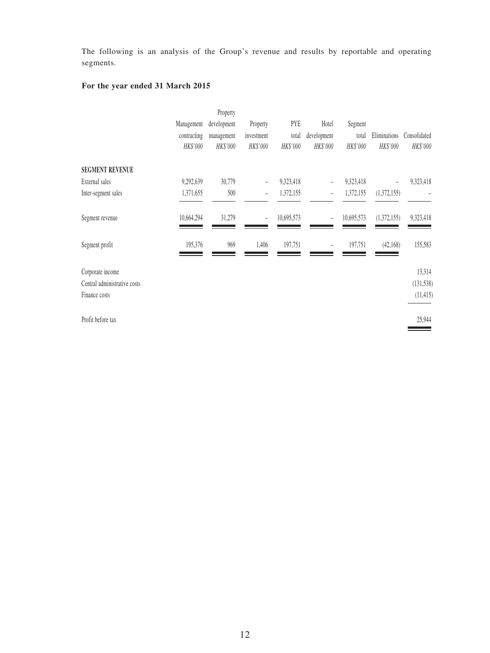The following is an analysis of the Group's revenue and results by reportable and operating segments.

# **For the year ended 31 March 2015**

|             | Property    |                          |            |                          |            |              |              |
|-------------|-------------|--------------------------|------------|--------------------------|------------|--------------|--------------|
| Management  | development | Property                 | PYE        | Hotel                    | Segment    |              |              |
| contracting | management  | investment               | total      | development              | total      | Eliminations | Consolidated |
| HK\$'000    | HK\$'000    | HK\$'000                 | HK\$'000   | HK\$'000                 | HK\$'000   | HK\$'000     | HK\$'000     |
|             |             |                          |            |                          |            |              |              |
| 9,292,639   | 30,779      | $\overline{\phantom{0}}$ | 9,323,418  |                          | 9,323,418  |              | 9,323,418    |
| 1,371,655   | 500         | ÷                        | 1,372,155  | $\overline{\phantom{0}}$ | 1,372,155  | (1,372,155)  |              |
| 10,664,294  | 31,279      | ÷                        | 10,695,573 | $\overline{\phantom{0}}$ | 10,695,573 |              | 9,323,418    |
| 195,376     | 969         | 1,406                    | 197,751    | $\qquad \qquad -$        | 197,751    | (42, 168)    | 155,583      |
|             |             |                          |            |                          |            |              | 13,314       |
|             |             |                          |            |                          |            |              | (131, 538)   |
|             |             |                          |            |                          |            |              | (11, 415)    |
|             |             |                          |            |                          |            |              | 25,944       |
|             |             |                          |            |                          |            |              | (1,372,155)  |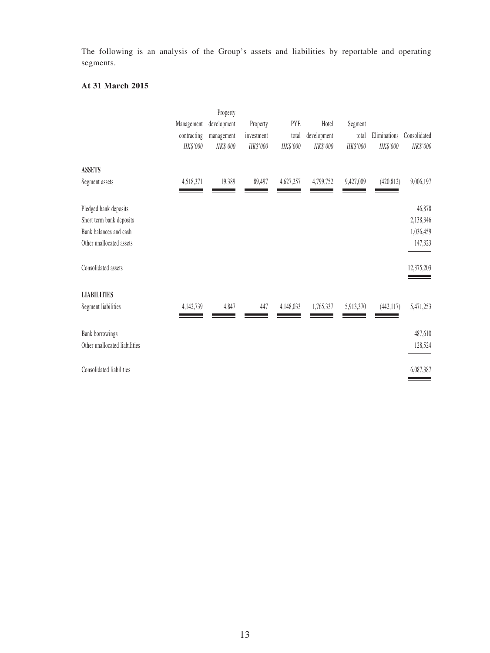The following is an analysis of the Group's assets and liabilities by reportable and operating segments.

### **At 31 March 2015**

|                                                                                                         | Management<br>contracting<br>HK\$'000 | Property<br>development<br>management<br>HK\$'000 | Property<br>investment<br>HK\$'000 | PYE<br>total<br>HK\$'000 | Hotel<br>development<br>HK\$'000 | Segment<br>total<br>HK\$'000 | Eliminations<br>HK\$'000 | Consolidated<br>HK\$'000                    |
|---------------------------------------------------------------------------------------------------------|---------------------------------------|---------------------------------------------------|------------------------------------|--------------------------|----------------------------------|------------------------------|--------------------------|---------------------------------------------|
| <b>ASSETS</b><br>Segment assets                                                                         | 4,518,371                             | 19,389                                            | 89,497                             | 4,627,257                | 4,799,752                        | 9,427,009                    | (420, 812)               | 9,006,197                                   |
| Pledged bank deposits<br>Short term bank deposits<br>Bank balances and cash<br>Other unallocated assets |                                       |                                                   |                                    |                          |                                  |                              |                          | 46,878<br>2,138,346<br>1,036,459<br>147,323 |
| Consolidated assets                                                                                     |                                       |                                                   |                                    |                          |                                  |                              |                          | 12,375,203                                  |
| <b>LIABILITIES</b><br>Segment liabilities                                                               | 4,142,739                             | 4,847                                             | 447                                | 4,148,033                | 1,765,337                        | 5,913,370                    | (442, 117)               | 5,471,253                                   |
| Bank borrowings<br>Other unallocated liabilities                                                        |                                       |                                                   |                                    |                          |                                  |                              |                          | 487,610<br>128,524                          |
| Consolidated liabilities                                                                                |                                       |                                                   |                                    |                          |                                  |                              |                          | 6,087,387                                   |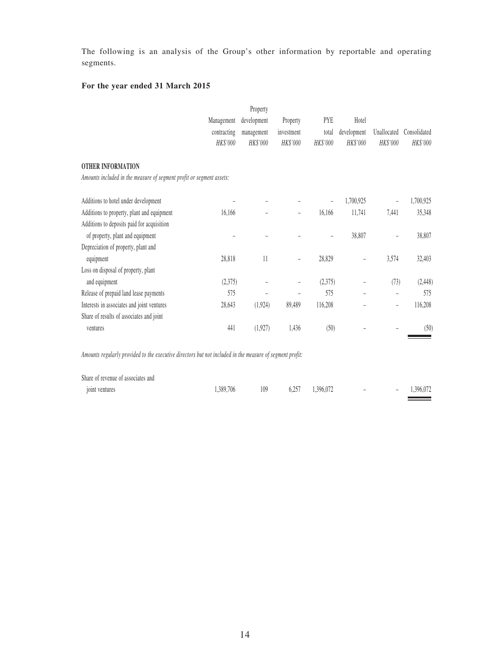The following is an analysis of the Group's other information by reportable and operating segments.

# **For the year ended 31 March 2015**

|                                                                                                          |                 | Property    |                          |            |             |             |               |
|----------------------------------------------------------------------------------------------------------|-----------------|-------------|--------------------------|------------|-------------|-------------|---------------|
|                                                                                                          | Management      | development | Property                 | <b>PYE</b> | Hotel       |             |               |
|                                                                                                          | contracting     | management  | investment               | total      | development | Unallocated | Consolidated  |
|                                                                                                          | HK\$'000        | HK\$'000    | HK\$'000                 | HK\$'000   | HK\$'000    | HK\$'000    | HK\$'000      |
| <b>OTHER INFORMATION</b>                                                                                 |                 |             |                          |            |             |             |               |
| Amounts included in the measure of segment profit or segment assets:                                     |                 |             |                          |            |             |             |               |
| Additions to hotel under development                                                                     |                 |             |                          |            | 1,700,925   |             | 1,700,925     |
| Additions to property, plant and equipment                                                               | 16,166          |             | $\overline{\phantom{0}}$ | 16,166     | 11,741      | 7,441       | 35,348        |
| Additions to deposits paid for acquisition                                                               |                 |             |                          |            |             |             |               |
| of property, plant and equipment                                                                         |                 |             |                          |            | 38,807      |             | 38,807        |
| Depreciation of property, plant and                                                                      |                 |             |                          |            |             |             |               |
| equipment                                                                                                | 28,818          | 11          |                          | 28,829     |             | 3,574       | 32,403        |
| Loss on disposal of property, plant                                                                      |                 |             |                          |            |             |             |               |
| and equipment                                                                                            | (2,375)         |             |                          | (2,375)    |             | (73)        | (2, 448)      |
| Release of prepaid land lease payments                                                                   | 575             |             |                          | 575        |             |             | 575           |
| Interests in associates and joint ventures                                                               | 28,643          | (1,924)     | 89,489                   | 116,208    |             |             | 116,208       |
| Share of results of associates and joint                                                                 |                 |             |                          |            |             |             |               |
| ventures                                                                                                 | 441             | (1,927)     | 1,436                    | (50)       |             |             | (50)          |
| Amounts regularly provided to the executive directors but not included in the measure of segment profit: |                 |             |                          |            |             |             |               |
| Share of revenue of associates and                                                                       |                 |             |                          |            |             |             |               |
|                                                                                                          | $1.200 \pm 0.6$ |             |                          |            |             |             | $1.206$ $0.7$ |

joint ventures 1,389,706 109 6,257 1,396,072 – – 1,396,072

 $\equiv$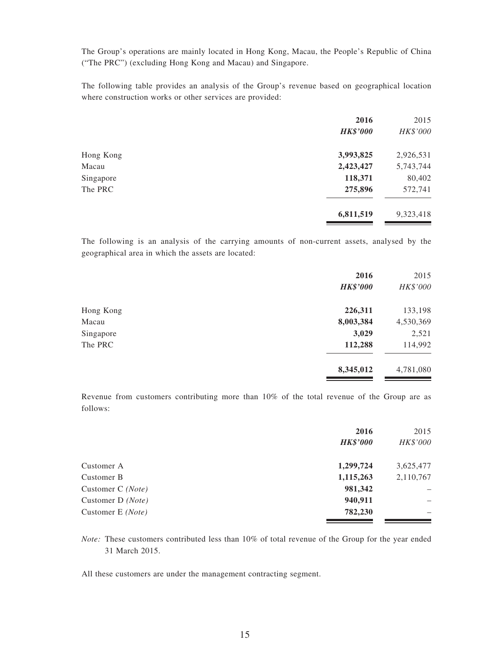The Group's operations are mainly located in Hong Kong, Macau, the People's Republic of China ("The PRC") (excluding Hong Kong and Macau) and Singapore.

The following table provides an analysis of the Group's revenue based on geographical location where construction works or other services are provided:

| 2016            | 2015      |
|-----------------|-----------|
| <b>HK\$'000</b> | HK\$'000  |
| 3,993,825       | 2,926,531 |
| 2,423,427       | 5,743,744 |
| 118,371         | 80,402    |
| 275,896         | 572,741   |
| 6,811,519       | 9,323,418 |
|                 |           |

The following is an analysis of the carrying amounts of non-current assets, analysed by the geographical area in which the assets are located:

|           | 2016            | 2015      |
|-----------|-----------------|-----------|
|           | <b>HK\$'000</b> | HK\$'000  |
| Hong Kong | 226,311         | 133,198   |
| Macau     | 8,003,384       | 4,530,369 |
| Singapore | 3,029           | 2,521     |
| The PRC   | 112,288         | 114,992   |
|           | 8,345,012       | 4,781,080 |

Revenue from customers contributing more than 10% of the total revenue of the Group are as follows:

| 2016            | 2015                     |
|-----------------|--------------------------|
| <b>HK\$'000</b> | HK\$'000                 |
| 1,299,724       | 3,625,477                |
| 1,115,263       | 2,110,767                |
| 981,342         | $\overline{\phantom{m}}$ |
| 940,911         |                          |
| 782,230         | $\overline{\phantom{0}}$ |
|                 |                          |

*Note:* These customers contributed less than 10% of total revenue of the Group for the year ended 31 March 2015.

All these customers are under the management contracting segment.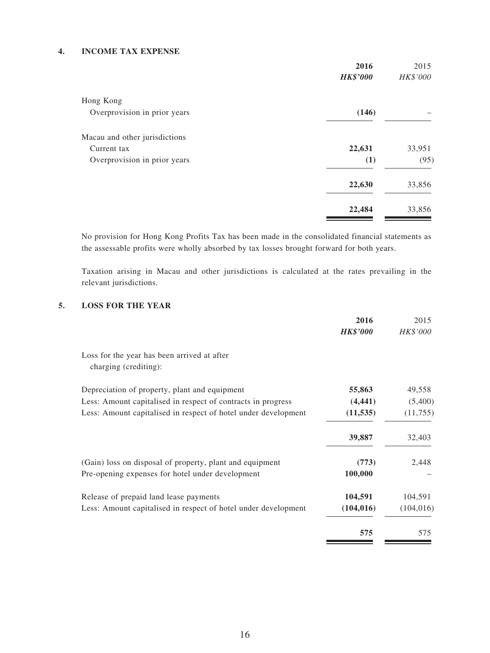#### **4. INCOME TAX EXPENSE**

|                               | 2016            | 2015     |
|-------------------------------|-----------------|----------|
|                               | <b>HK\$'000</b> | HK\$'000 |
| Hong Kong                     |                 |          |
| Overprovision in prior years  | (146)           |          |
| Macau and other jurisdictions |                 |          |
| Current tax                   | 22,631          | 33,951   |
| Overprovision in prior years  | (1)             | (95)     |
|                               | 22,630          | 33,856   |
|                               | 22,484          | 33,856   |

No provision for Hong Kong Profits Tax has been made in the consolidated financial statements as the assessable profits were wholly absorbed by tax losses brought forward for both years.

Taxation arising in Macau and other jurisdictions is calculated at the rates prevailing in the relevant jurisdictions.

#### **5. LOSS FOR THE YEAR**

| 2016            | 2015       |
|-----------------|------------|
| <b>HK\$'000</b> | HK\$'000   |
|                 |            |
| 55,863          | 49,558     |
| (4, 441)        | (5,400)    |
| (11, 535)       | (11,755)   |
| 39,887          | 32,403     |
| (773)           | 2,448      |
| 100,000         |            |
| 104,591         | 104,591    |
| (104, 016)      | (104, 016) |
| 575             | 575        |
|                 |            |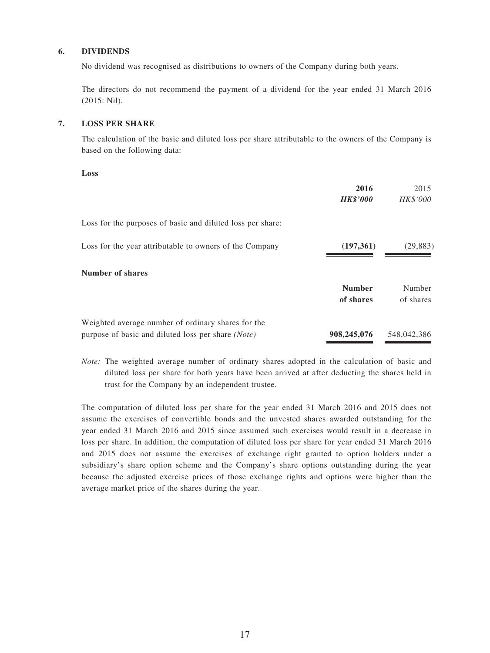#### **6. DIVIDENDS**

No dividend was recognised as distributions to owners of the Company during both years.

The directors do not recommend the payment of a dividend for the year ended 31 March 2016 (2015: Nil).

#### **7. LOSS PER SHARE**

The calculation of the basic and diluted loss per share attributable to the owners of the Company is based on the following data:

**Loss**

|                                                                                                          | 2016<br><b>HK\$'000</b>    | 2015<br><i>HK\$'000</i> |
|----------------------------------------------------------------------------------------------------------|----------------------------|-------------------------|
| Loss for the purposes of basic and diluted loss per share:                                               |                            |                         |
| Loss for the year attributable to owners of the Company                                                  | (197,361)                  | (29, 883)               |
| Number of shares                                                                                         |                            |                         |
|                                                                                                          | <b>Number</b><br>of shares | Number<br>of shares     |
| Weighted average number of ordinary shares for the<br>purpose of basic and diluted loss per share (Note) | 908,245,076                | 548,042,386             |

*Note:* The weighted average number of ordinary shares adopted in the calculation of basic and diluted loss per share for both years have been arrived at after deducting the shares held in trust for the Company by an independent trustee.

The computation of diluted loss per share for the year ended 31 March 2016 and 2015 does not assume the exercises of convertible bonds and the unvested shares awarded outstanding for the year ended 31 March 2016 and 2015 since assumed such exercises would result in a decrease in loss per share. In addition, the computation of diluted loss per share for year ended 31 March 2016 and 2015 does not assume the exercises of exchange right granted to option holders under a subsidiary's share option scheme and the Company's share options outstanding during the year because the adjusted exercise prices of those exchange rights and options were higher than the average market price of the shares during the year.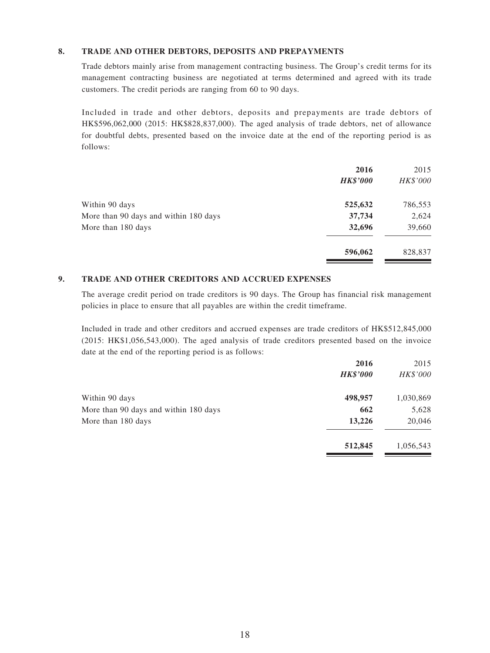#### **8. TRADE AND OTHER DEBTORS, DEPOSITS AND PREPAYMENTS**

Trade debtors mainly arise from management contracting business. The Group's credit terms for its management contracting business are negotiated at terms determined and agreed with its trade customers. The credit periods are ranging from 60 to 90 days.

Included in trade and other debtors, deposits and prepayments are trade debtors of HK\$596,062,000 (2015: HK\$828,837,000). The aged analysis of trade debtors, net of allowance for doubtful debts, presented based on the invoice date at the end of the reporting period is as follows:

|                                       | 2016<br><b>HK\$'000</b> | 2015<br>HK\$'000 |
|---------------------------------------|-------------------------|------------------|
| Within 90 days                        | 525,632                 | 786,553          |
| More than 90 days and within 180 days | 37,734                  | 2,624            |
| More than 180 days                    | 32,696                  | 39,660           |
|                                       | 596,062                 | 828,837          |

#### **9. TRADE AND OTHER CREDITORS AND ACCRUED EXPENSES**

The average credit period on trade creditors is 90 days. The Group has financial risk management policies in place to ensure that all payables are within the credit timeframe.

Included in trade and other creditors and accrued expenses are trade creditors of HK\$512,845,000 (2015: HK\$1,056,543,000). The aged analysis of trade creditors presented based on the invoice date at the end of the reporting period is as follows:

|                                       | 2016            | 2015      |
|---------------------------------------|-----------------|-----------|
|                                       | <b>HK\$'000</b> | HK\$'000  |
| Within 90 days                        | 498,957         | 1,030,869 |
| More than 90 days and within 180 days | 662             | 5,628     |
| More than 180 days                    | 13,226          | 20,046    |
|                                       | 512,845         | 1,056,543 |

**Contract Contract Contract**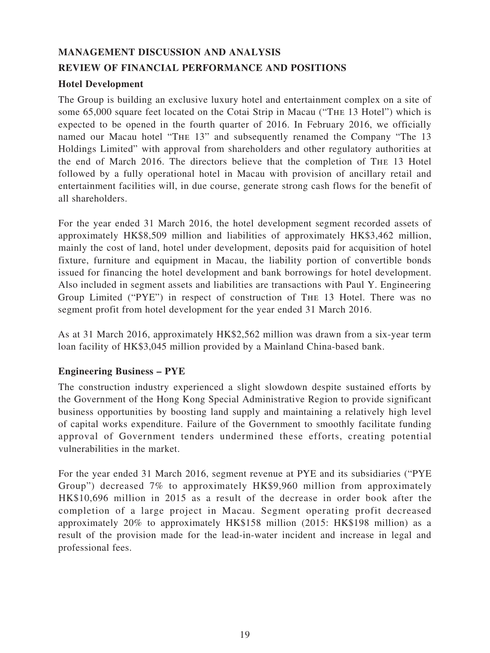# **MANAGEMENT DISCUSSION AND ANALYSIS REVIEW OF FINANCIAL PERFORMANCE AND POSITIONS**

# **Hotel Development**

The Group is building an exclusive luxury hotel and entertainment complex on a site of some 65,000 square feet located on the Cotai Strip in Macau ("The 13 Hotel") which is expected to be opened in the fourth quarter of 2016. In February 2016, we officially named our Macau hotel "The 13" and subsequently renamed the Company "The 13 Holdings Limited" with approval from shareholders and other regulatory authorities at the end of March 2016. The directors believe that the completion of The 13 Hotel followed by a fully operational hotel in Macau with provision of ancillary retail and entertainment facilities will, in due course, generate strong cash flows for the benefit of all shareholders.

For the year ended 31 March 2016, the hotel development segment recorded assets of approximately HK\$8,509 million and liabilities of approximately HK\$3,462 million, mainly the cost of land, hotel under development, deposits paid for acquisition of hotel fixture, furniture and equipment in Macau, the liability portion of convertible bonds issued for financing the hotel development and bank borrowings for hotel development. Also included in segment assets and liabilities are transactions with Paul Y. Engineering Group Limited ("PYE") in respect of construction of The 13 Hotel. There was no segment profit from hotel development for the year ended 31 March 2016.

As at 31 March 2016, approximately HK\$2,562 million was drawn from a six-year term loan facility of HK\$3,045 million provided by a Mainland China-based bank.

# **Engineering Business – PYE**

The construction industry experienced a slight slowdown despite sustained efforts by the Government of the Hong Kong Special Administrative Region to provide significant business opportunities by boosting land supply and maintaining a relatively high level of capital works expenditure. Failure of the Government to smoothly facilitate funding approval of Government tenders undermined these efforts, creating potential vulnerabilities in the market.

For the year ended 31 March 2016, segment revenue at PYE and its subsidiaries ("PYE Group") decreased 7% to approximately HK\$9,960 million from approximately HK\$10,696 million in 2015 as a result of the decrease in order book after the completion of a large project in Macau. Segment operating profit decreased approximately 20% to approximately HK\$158 million (2015: HK\$198 million) as a result of the provision made for the lead-in-water incident and increase in legal and professional fees.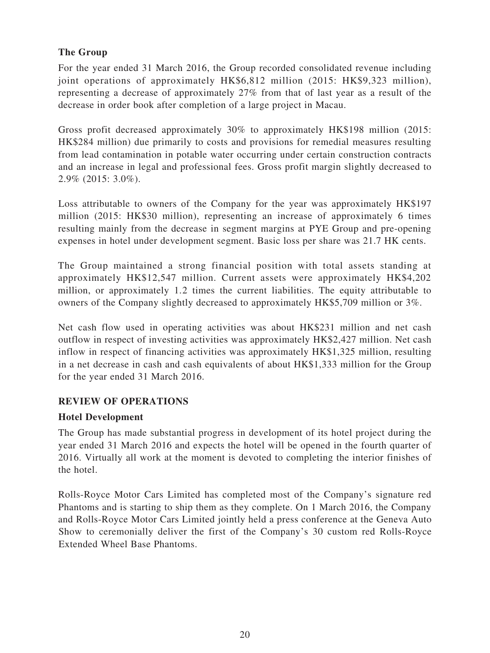# **The Group**

For the year ended 31 March 2016, the Group recorded consolidated revenue including joint operations of approximately HK\$6,812 million (2015: HK\$9,323 million), representing a decrease of approximately 27% from that of last year as a result of the decrease in order book after completion of a large project in Macau.

Gross profit decreased approximately 30% to approximately HK\$198 million (2015: HK\$284 million) due primarily to costs and provisions for remedial measures resulting from lead contamination in potable water occurring under certain construction contracts and an increase in legal and professional fees. Gross profit margin slightly decreased to 2.9% (2015: 3.0%).

Loss attributable to owners of the Company for the year was approximately HK\$197 million (2015: HK\$30 million), representing an increase of approximately 6 times resulting mainly from the decrease in segment margins at PYE Group and pre-opening expenses in hotel under development segment. Basic loss per share was 21.7 HK cents.

The Group maintained a strong financial position with total assets standing at approximately HK\$12,547 million. Current assets were approximately HK\$4,202 million, or approximately 1.2 times the current liabilities. The equity attributable to owners of the Company slightly decreased to approximately HK\$5,709 million or 3%.

Net cash flow used in operating activities was about HK\$231 million and net cash outflow in respect of investing activities was approximately HK\$2,427 million. Net cash inflow in respect of financing activities was approximately HK\$1,325 million, resulting in a net decrease in cash and cash equivalents of about HK\$1,333 million for the Group for the year ended 31 March 2016.

# **REVIEW OF OPERATIONS**

# **Hotel Development**

The Group has made substantial progress in development of its hotel project during the year ended 31 March 2016 and expects the hotel will be opened in the fourth quarter of 2016. Virtually all work at the moment is devoted to completing the interior finishes of the hotel.

Rolls-Royce Motor Cars Limited has completed most of the Company's signature red Phantoms and is starting to ship them as they complete. On 1 March 2016, the Company and Rolls-Royce Motor Cars Limited jointly held a press conference at the Geneva Auto Show to ceremonially deliver the first of the Company's 30 custom red Rolls-Royce Extended Wheel Base Phantoms.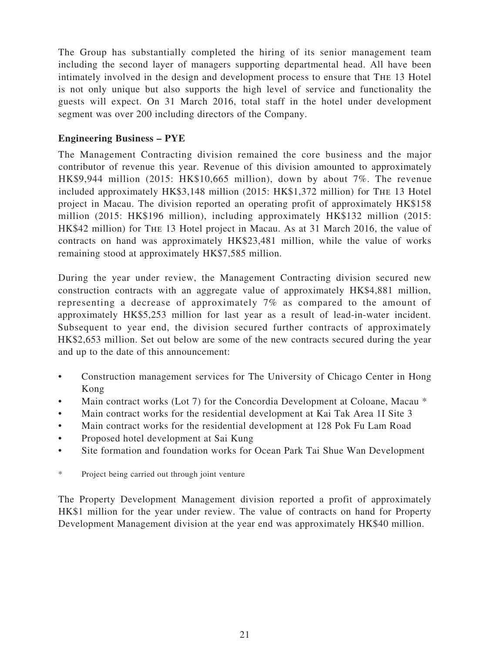The Group has substantially completed the hiring of its senior management team including the second layer of managers supporting departmental head. All have been intimately involved in the design and development process to ensure that The 13 Hotel is not only unique but also supports the high level of service and functionality the guests will expect. On 31 March 2016, total staff in the hotel under development segment was over 200 including directors of the Company.

# **Engineering Business – PYE**

The Management Contracting division remained the core business and the major contributor of revenue this year. Revenue of this division amounted to approximately HK\$9,944 million (2015: HK\$10,665 million), down by about 7%. The revenue included approximately HK\$3,148 million (2015: HK\$1,372 million) for The 13 Hotel project in Macau. The division reported an operating profit of approximately HK\$158 million (2015: HK\$196 million), including approximately HK\$132 million (2015: HK\$42 million) for The 13 Hotel project in Macau. As at 31 March 2016, the value of contracts on hand was approximately HK\$23,481 million, while the value of works remaining stood at approximately HK\$7,585 million.

During the year under review, the Management Contracting division secured new construction contracts with an aggregate value of approximately HK\$4,881 million, representing a decrease of approximately 7% as compared to the amount of approximately HK\$5,253 million for last year as a result of lead-in-water incident. Subsequent to year end, the division secured further contracts of approximately HK\$2,653 million. Set out below are some of the new contracts secured during the year and up to the date of this announcement:

- Construction management services for The University of Chicago Center in Hong Kong
- Main contract works (Lot 7) for the Concordia Development at Coloane, Macau  $*$
- Main contract works for the residential development at Kai Tak Area 1I Site 3
- Main contract works for the residential development at 128 Pok Fu Lam Road
- Proposed hotel development at Sai Kung
- Site formation and foundation works for Ocean Park Tai Shue Wan Development
- \* Project being carried out through joint venture

The Property Development Management division reported a profit of approximately HK\$1 million for the year under review. The value of contracts on hand for Property Development Management division at the year end was approximately HK\$40 million.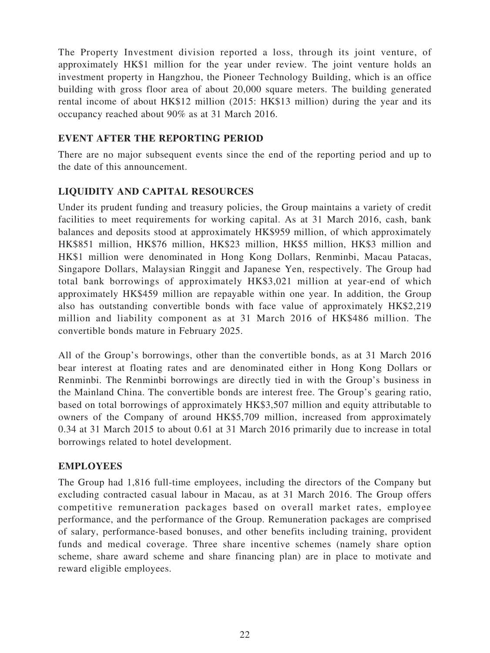The Property Investment division reported a loss, through its joint venture, of approximately HK\$1 million for the year under review. The joint venture holds an investment property in Hangzhou, the Pioneer Technology Building, which is an office building with gross floor area of about 20,000 square meters. The building generated rental income of about HK\$12 million (2015: HK\$13 million) during the year and its occupancy reached about 90% as at 31 March 2016.

# **EVENT AFTER THE REPORTING PERIOD**

There are no major subsequent events since the end of the reporting period and up to the date of this announcement.

# **LIQUIDITY AND CAPITAL RESOURCES**

Under its prudent funding and treasury policies, the Group maintains a variety of credit facilities to meet requirements for working capital. As at 31 March 2016, cash, bank balances and deposits stood at approximately HK\$959 million, of which approximately HK\$851 million, HK\$76 million, HK\$23 million, HK\$5 million, HK\$3 million and HK\$1 million were denominated in Hong Kong Dollars, Renminbi, Macau Patacas, Singapore Dollars, Malaysian Ringgit and Japanese Yen, respectively. The Group had total bank borrowings of approximately HK\$3,021 million at year-end of which approximately HK\$459 million are repayable within one year. In addition, the Group also has outstanding convertible bonds with face value of approximately HK\$2,219 million and liability component as at 31 March 2016 of HK\$486 million. The convertible bonds mature in February 2025.

All of the Group's borrowings, other than the convertible bonds, as at 31 March 2016 bear interest at floating rates and are denominated either in Hong Kong Dollars or Renminbi. The Renminbi borrowings are directly tied in with the Group's business in the Mainland China. The convertible bonds are interest free. The Group's gearing ratio, based on total borrowings of approximately HK\$3,507 million and equity attributable to owners of the Company of around HK\$5,709 million, increased from approximately 0.34 at 31 March 2015 to about 0.61 at 31 March 2016 primarily due to increase in total borrowings related to hotel development.

# **EMPLOYEES**

The Group had 1,816 full-time employees, including the directors of the Company but excluding contracted casual labour in Macau, as at 31 March 2016. The Group offers competitive remuneration packages based on overall market rates, employee performance, and the performance of the Group. Remuneration packages are comprised of salary, performance-based bonuses, and other benefits including training, provident funds and medical coverage. Three share incentive schemes (namely share option scheme, share award scheme and share financing plan) are in place to motivate and reward eligible employees.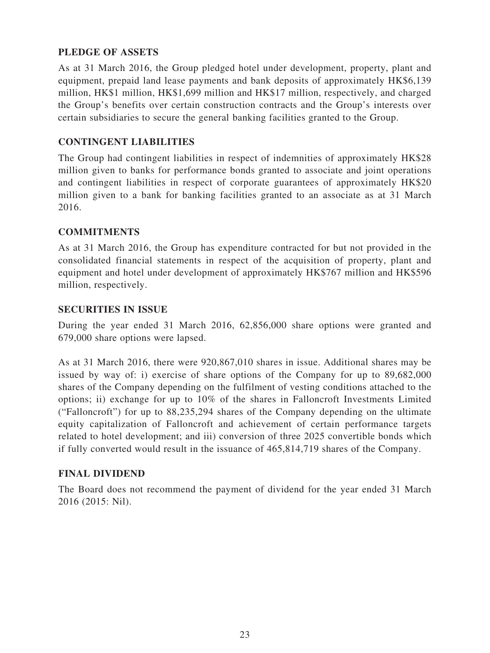# **PLEDGE OF ASSETS**

As at 31 March 2016, the Group pledged hotel under development, property, plant and equipment, prepaid land lease payments and bank deposits of approximately HK\$6,139 million, HK\$1 million, HK\$1,699 million and HK\$17 million, respectively, and charged the Group's benefits over certain construction contracts and the Group's interests over certain subsidiaries to secure the general banking facilities granted to the Group.

# **CONTINGENT LIABILITIES**

The Group had contingent liabilities in respect of indemnities of approximately HK\$28 million given to banks for performance bonds granted to associate and joint operations and contingent liabilities in respect of corporate guarantees of approximately HK\$20 million given to a bank for banking facilities granted to an associate as at 31 March 2016.

# **COMMITMENTS**

As at 31 March 2016, the Group has expenditure contracted for but not provided in the consolidated financial statements in respect of the acquisition of property, plant and equipment and hotel under development of approximately HK\$767 million and HK\$596 million, respectively.

# **SECURITIES IN ISSUE**

During the year ended 31 March 2016, 62,856,000 share options were granted and 679,000 share options were lapsed.

As at 31 March 2016, there were 920,867,010 shares in issue. Additional shares may be issued by way of: i) exercise of share options of the Company for up to 89,682,000 shares of the Company depending on the fulfilment of vesting conditions attached to the options; ii) exchange for up to 10% of the shares in Falloncroft Investments Limited ("Falloncroft") for up to 88,235,294 shares of the Company depending on the ultimate equity capitalization of Falloncroft and achievement of certain performance targets related to hotel development; and iii) conversion of three 2025 convertible bonds which if fully converted would result in the issuance of 465,814,719 shares of the Company.

# **FINAL DIVIDEND**

The Board does not recommend the payment of dividend for the year ended 31 March 2016 (2015: Nil).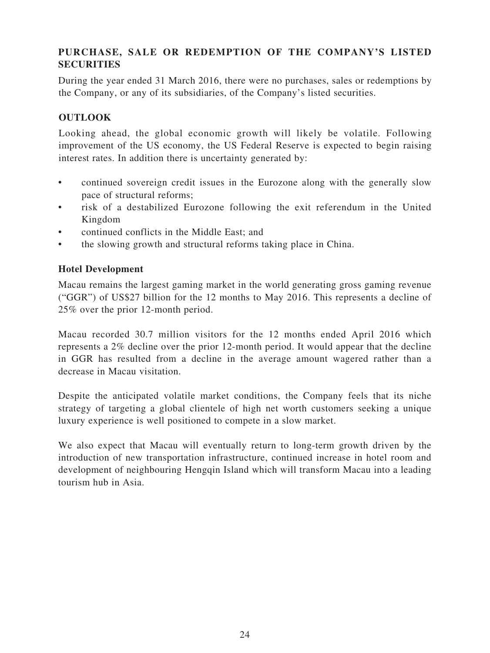# **PURCHASE, SALE OR REDEMPTION OF THE COMPANY'S LISTED SECURITIES**

During the year ended 31 March 2016, there were no purchases, sales or redemptions by the Company, or any of its subsidiaries, of the Company's listed securities.

# **OUTLOOK**

Looking ahead, the global economic growth will likely be volatile. Following improvement of the US economy, the US Federal Reserve is expected to begin raising interest rates. In addition there is uncertainty generated by:

- continued sovereign credit issues in the Eurozone along with the generally slow pace of structural reforms;
- risk of a destabilized Eurozone following the exit referendum in the United Kingdom
- continued conflicts in the Middle East; and
- the slowing growth and structural reforms taking place in China.

# **Hotel Development**

Macau remains the largest gaming market in the world generating gross gaming revenue ("GGR") of US\$27 billion for the 12 months to May 2016. This represents a decline of 25% over the prior 12-month period.

Macau recorded 30.7 million visitors for the 12 months ended April 2016 which represents a 2% decline over the prior 12-month period. It would appear that the decline in GGR has resulted from a decline in the average amount wagered rather than a decrease in Macau visitation.

Despite the anticipated volatile market conditions, the Company feels that its niche strategy of targeting a global clientele of high net worth customers seeking a unique luxury experience is well positioned to compete in a slow market.

We also expect that Macau will eventually return to long-term growth driven by the introduction of new transportation infrastructure, continued increase in hotel room and development of neighbouring Hengqin Island which will transform Macau into a leading tourism hub in Asia.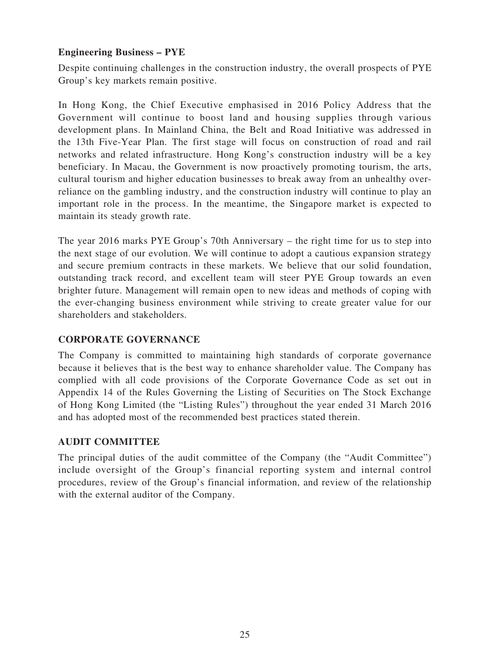# **Engineering Business – PYE**

Despite continuing challenges in the construction industry, the overall prospects of PYE Group's key markets remain positive.

In Hong Kong, the Chief Executive emphasised in 2016 Policy Address that the Government will continue to boost land and housing supplies through various development plans. In Mainland China, the Belt and Road Initiative was addressed in the 13th Five-Year Plan. The first stage will focus on construction of road and rail networks and related infrastructure. Hong Kong's construction industry will be a key beneficiary. In Macau, the Government is now proactively promoting tourism, the arts, cultural tourism and higher education businesses to break away from an unhealthy overreliance on the gambling industry, and the construction industry will continue to play an important role in the process. In the meantime, the Singapore market is expected to maintain its steady growth rate.

The year 2016 marks PYE Group's 70th Anniversary – the right time for us to step into the next stage of our evolution. We will continue to adopt a cautious expansion strategy and secure premium contracts in these markets. We believe that our solid foundation, outstanding track record, and excellent team will steer PYE Group towards an even brighter future. Management will remain open to new ideas and methods of coping with the ever-changing business environment while striving to create greater value for our shareholders and stakeholders.

# **CORPORATE GOVERNANCE**

The Company is committed to maintaining high standards of corporate governance because it believes that is the best way to enhance shareholder value. The Company has complied with all code provisions of the Corporate Governance Code as set out in Appendix 14 of the Rules Governing the Listing of Securities on The Stock Exchange of Hong Kong Limited (the "Listing Rules") throughout the year ended 31 March 2016 and has adopted most of the recommended best practices stated therein.

# **AUDIT COMMITTEE**

The principal duties of the audit committee of the Company (the "Audit Committee") include oversight of the Group's financial reporting system and internal control procedures, review of the Group's financial information, and review of the relationship with the external auditor of the Company.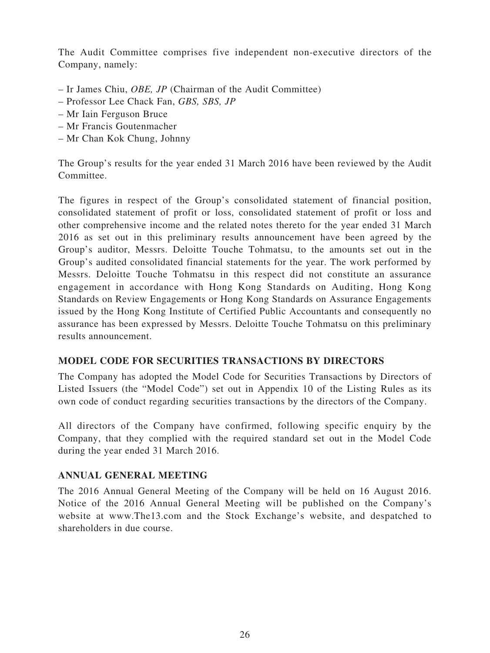The Audit Committee comprises five independent non-executive directors of the Company, namely:

- Ir James Chiu, *OBE, JP* (Chairman of the Audit Committee)
- Professor Lee Chack Fan, *GBS, SBS, JP*
- Mr Iain Ferguson Bruce
- Mr Francis Goutenmacher
- Mr Chan Kok Chung, Johnny

The Group's results for the year ended 31 March 2016 have been reviewed by the Audit Committee.

The figures in respect of the Group's consolidated statement of financial position, consolidated statement of profit or loss, consolidated statement of profit or loss and other comprehensive income and the related notes thereto for the year ended 31 March 2016 as set out in this preliminary results announcement have been agreed by the Group's auditor, Messrs. Deloitte Touche Tohmatsu, to the amounts set out in the Group's audited consolidated financial statements for the year. The work performed by Messrs. Deloitte Touche Tohmatsu in this respect did not constitute an assurance engagement in accordance with Hong Kong Standards on Auditing, Hong Kong Standards on Review Engagements or Hong Kong Standards on Assurance Engagements issued by the Hong Kong Institute of Certified Public Accountants and consequently no assurance has been expressed by Messrs. Deloitte Touche Tohmatsu on this preliminary results announcement.

# **MODEL CODE FOR SECURITIES TRANSACTIONS BY DIRECTORS**

The Company has adopted the Model Code for Securities Transactions by Directors of Listed Issuers (the "Model Code") set out in Appendix 10 of the Listing Rules as its own code of conduct regarding securities transactions by the directors of the Company.

All directors of the Company have confirmed, following specific enquiry by the Company, that they complied with the required standard set out in the Model Code during the year ended 31 March 2016.

# **ANNUAL GENERAL MEETING**

The 2016 Annual General Meeting of the Company will be held on 16 August 2016. Notice of the 2016 Annual General Meeting will be published on the Company's website at www.The13.com and the Stock Exchange's website, and despatched to shareholders in due course.